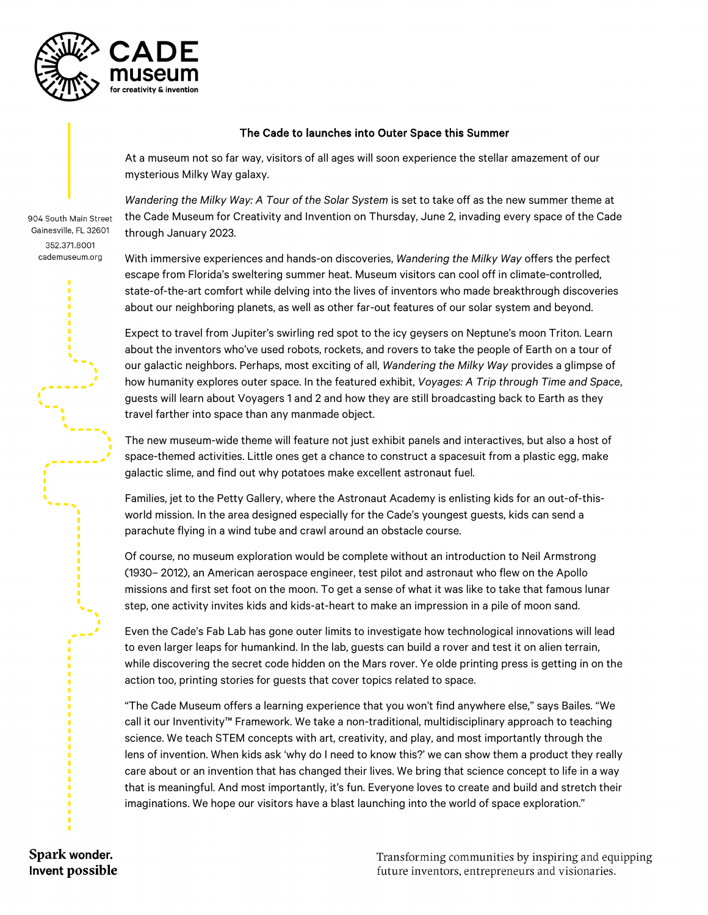

## The Cade to launches into Outer Space this Summer

At a museum not so far way, visitors of all ages will soon experience the stellar amazement of our mysterious Milky Way galaxy.

*Wandering the Milky Way: A Tour of the Solar System* is set to take off as the new summer theme at the Cade Museum for Creativity and Invention on Thursday, June 2, invading every space of the Cade through January 2023.

With immersive experiences and hands-on discoveries, *Wandering the Milky Way* offers the perfect escape from Florida's sweltering summer heat. Museum visitors can cool off in climate-controlled, state-of-the-art comfort while delving into the lives of inventors who made breakthrough discoveries about our neighboring planets, as well as other far-out features of our solar system and beyond.

Expect to travel from Jupiter's swirling red spot to the icy geysers on Neptune's moon Triton. Learn about the inventors who've used robots, rockets, and rovers to take the people of Earth on a tour of our galactic neighbors. Perhaps, most exciting of all, *Wandering the Milky Way* provides a glimpse of how humanity explores outer space. In the featured exhibit, *Voyages: A Trip through Time and Space*, guests will learn about Voyagers 1 and 2 and how they are still broadcasting back to Earth as they travel farther into space than any manmade object.

The new museum-wide theme will feature not just exhibit panels and interactives, but also a host of space-themed activities. Little ones get a chance to construct a spacesuit from a plastic egg, make galactic slime, and find out why potatoes make excellent astronaut fuel.

Families, jet to the Petty Gallery, where the Astronaut Academy is enlisting kids for an out-of-thisworld mission. In the area designed especially for the Cade's youngest guests, kids can send a parachute flying in a wind tube and crawl around an obstacle course.

Of course, no museum exploration would be complete without an introduction to Neil Armstrong (1930– 2012), an American aerospace engineer, test pilot and astronaut who flew on the Apollo missions and first set foot on the moon. To get a sense of what it was like to take that famous lunar step, one activity invites kids and kids-at-heart to make an impression in a pile of moon sand.

Even the Cade's Fab Lab has gone outer limits to investigate how technological innovations will lead to even larger leaps for humankind. In the lab, guests can build a rover and test it on alien terrain, while discovering the secret code hidden on the Mars rover. Ye olde printing press is getting in on the action too, printing stories for guests that cover topics related to space.

"The Cade Museum offers a learning experience that you won't find anywhere else," says Bailes. "We call it our Inventivity™ Framework. We take a non-traditional, multidisciplinary approach to teaching science. We teach STEM concepts with art, creativity, and play, and most importantly through the lens of invention. When kids ask 'why do I need to know this?' we can show them a product they really care about or an invention that has changed their lives. We bring that science concept to life in a way that is meaningful. And most importantly, it's fun. Everyone loves to create and build and stretch their imaginations. We hope our visitors have a blast launching into the world of space exploration."

904 South Main Street Gainesville, FL 32601 352.371.8001 cademuseum.org